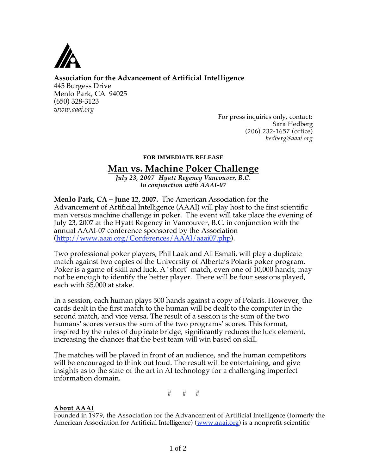

**Association for the Advancement of Artificial Intelligence** 

445 Burgess Drive Menlo Park, CA 94025 (650) 328-3123 *www.aaai.org* 

> For press inquiries only, contact: Sara Hedberg (206) 232-1657 (office) *hedberg@aaai.org*

## **FOR IMMEDIATE RELEASE**

## **Man vs. Machine Poker Challenge**

*July 23, 2007 Hyatt Regency Vancouver, B.C. In conjunction with AAAI-07* 

**Menlo Park, CA – June 12, 2007.** The American Association for the Advancement of Artificial Intelligence (AAAI) will play host to the first scientific man versus machine challenge in poker. The event will take place the evening of July 23, 2007 at the Hyatt Regency in Vancouver, B.C. in conjunction with the annual AAAI-07 conference sponsored by the Association (http://www.aaai.org/Conferences/AAAI/aaai07.php).

Two professional poker players, Phil Laak and Ali Esmali, will play a duplicate match against two copies of the University of Alberta's Polaris poker program. Poker is a game of skill and luck. A "short" match, even one of 10,000 hands, may not be enough to identify the better player. There will be four sessions played, each with \$5,000 at stake.

In a session, each human plays 500 hands against a copy of Polaris. However, the cards dealt in the first match to the human will be dealt to the computer in the second match, and vice versa. The result of a session is the sum of the two humans' scores versus the sum of the two programs' scores. This format, inspired by the rules of duplicate bridge, significantly reduces the luck element, increasing the chances that the best team will win based on skill.

The matches will be played in front of an audience, and the human competitors will be encouraged to think out loud. The result will be entertaining, and give insights as to the state of the art in AI technology for a challenging imperfect information domain.

# # #

## **About AAAI**

Founded in 1979, the Association for the Advancement of Artificial Intelligence (formerly the American Association for Artificial Intelligence) (www.aaai.org) is a nonprofit scientific